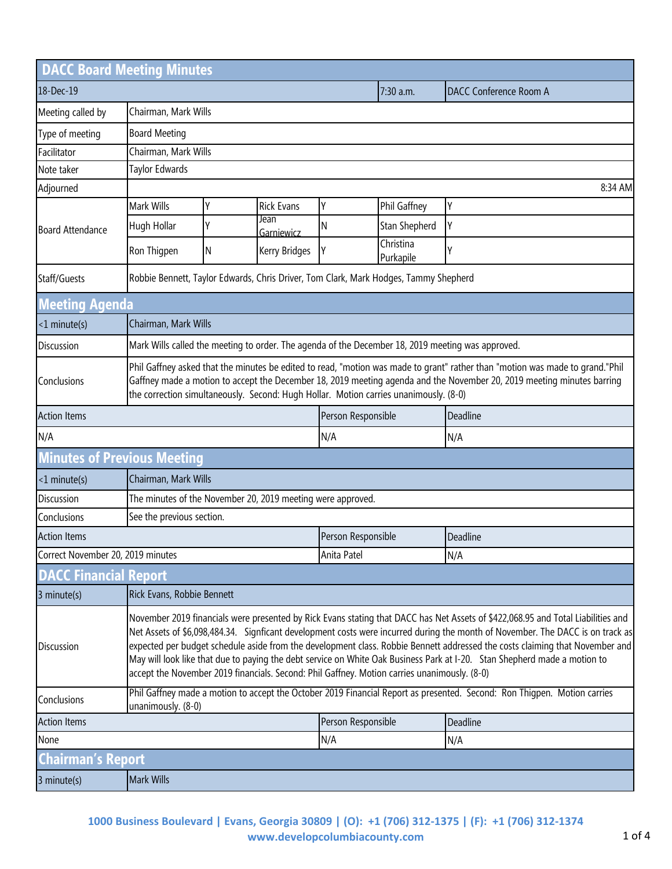| <b>DACC Board Meeting Minutes</b>  |                                                                                                                                                                                                                                                                                                                                                                                                                                                                                                                                                                                                                                 |                                                             |                    |                    |                        |                               |  |
|------------------------------------|---------------------------------------------------------------------------------------------------------------------------------------------------------------------------------------------------------------------------------------------------------------------------------------------------------------------------------------------------------------------------------------------------------------------------------------------------------------------------------------------------------------------------------------------------------------------------------------------------------------------------------|-------------------------------------------------------------|--------------------|--------------------|------------------------|-------------------------------|--|
| 18-Dec-19                          |                                                                                                                                                                                                                                                                                                                                                                                                                                                                                                                                                                                                                                 |                                                             |                    |                    | 7:30 a.m.              | <b>DACC Conference Room A</b> |  |
| Meeting called by                  | Chairman, Mark Wills                                                                                                                                                                                                                                                                                                                                                                                                                                                                                                                                                                                                            |                                                             |                    |                    |                        |                               |  |
| Type of meeting                    | <b>Board Meeting</b>                                                                                                                                                                                                                                                                                                                                                                                                                                                                                                                                                                                                            |                                                             |                    |                    |                        |                               |  |
| Facilitator                        |                                                                                                                                                                                                                                                                                                                                                                                                                                                                                                                                                                                                                                 | Chairman, Mark Wills                                        |                    |                    |                        |                               |  |
| Note taker                         | Taylor Edwards                                                                                                                                                                                                                                                                                                                                                                                                                                                                                                                                                                                                                  |                                                             |                    |                    |                        |                               |  |
| Adjourned                          | 8:34 AM                                                                                                                                                                                                                                                                                                                                                                                                                                                                                                                                                                                                                         |                                                             |                    |                    |                        |                               |  |
| <b>Board Attendance</b>            | Mark Wills                                                                                                                                                                                                                                                                                                                                                                                                                                                                                                                                                                                                                      | Υ                                                           | <b>Rick Evans</b>  | Υ                  | Phil Gaffney           | Υ                             |  |
|                                    | Hugh Hollar                                                                                                                                                                                                                                                                                                                                                                                                                                                                                                                                                                                                                     | Υ                                                           | Jean<br>Garniewicz | N                  | Stan Shepherd          | Υ                             |  |
|                                    | Ron Thigpen                                                                                                                                                                                                                                                                                                                                                                                                                                                                                                                                                                                                                     | Ν                                                           | Kerry Bridges      | Υ                  | Christina<br>Purkapile | Υ                             |  |
| Staff/Guests                       | Robbie Bennett, Taylor Edwards, Chris Driver, Tom Clark, Mark Hodges, Tammy Shepherd                                                                                                                                                                                                                                                                                                                                                                                                                                                                                                                                            |                                                             |                    |                    |                        |                               |  |
| <b>Meeting Agenda</b>              |                                                                                                                                                                                                                                                                                                                                                                                                                                                                                                                                                                                                                                 |                                                             |                    |                    |                        |                               |  |
| $<1$ minute(s)                     | Chairman, Mark Wills                                                                                                                                                                                                                                                                                                                                                                                                                                                                                                                                                                                                            |                                                             |                    |                    |                        |                               |  |
| <b>Discussion</b>                  | Mark Wills called the meeting to order. The agenda of the December 18, 2019 meeting was approved.                                                                                                                                                                                                                                                                                                                                                                                                                                                                                                                               |                                                             |                    |                    |                        |                               |  |
| Conclusions                        | Phil Gaffney asked that the minutes be edited to read, "motion was made to grant" rather than "motion was made to grand."Phil<br>Gaffney made a motion to accept the December 18, 2019 meeting agenda and the November 20, 2019 meeting minutes barring<br>the correction simultaneously. Second: Hugh Hollar. Motion carries unanimously. (8-0)                                                                                                                                                                                                                                                                                |                                                             |                    |                    |                        |                               |  |
| <b>Action Items</b>                |                                                                                                                                                                                                                                                                                                                                                                                                                                                                                                                                                                                                                                 |                                                             |                    | Person Responsible |                        | Deadline                      |  |
| N/A                                |                                                                                                                                                                                                                                                                                                                                                                                                                                                                                                                                                                                                                                 |                                                             |                    | N/A                |                        | N/A                           |  |
| <b>Minutes of Previous Meeting</b> |                                                                                                                                                                                                                                                                                                                                                                                                                                                                                                                                                                                                                                 |                                                             |                    |                    |                        |                               |  |
| <1 minute(s)                       | Chairman, Mark Wills                                                                                                                                                                                                                                                                                                                                                                                                                                                                                                                                                                                                            |                                                             |                    |                    |                        |                               |  |
| <b>Discussion</b>                  |                                                                                                                                                                                                                                                                                                                                                                                                                                                                                                                                                                                                                                 | The minutes of the November 20, 2019 meeting were approved. |                    |                    |                        |                               |  |
| Conclusions                        | See the previous section.                                                                                                                                                                                                                                                                                                                                                                                                                                                                                                                                                                                                       |                                                             |                    |                    |                        |                               |  |
| <b>Action Items</b>                |                                                                                                                                                                                                                                                                                                                                                                                                                                                                                                                                                                                                                                 |                                                             |                    | Person Responsible |                        | Deadline                      |  |
| Correct November 20, 2019 minutes  |                                                                                                                                                                                                                                                                                                                                                                                                                                                                                                                                                                                                                                 |                                                             |                    | Anita Patel        |                        | N/A                           |  |
| <b>DACC Financial Report</b>       |                                                                                                                                                                                                                                                                                                                                                                                                                                                                                                                                                                                                                                 |                                                             |                    |                    |                        |                               |  |
| 3 minute(s)                        | Rick Evans, Robbie Bennett                                                                                                                                                                                                                                                                                                                                                                                                                                                                                                                                                                                                      |                                                             |                    |                    |                        |                               |  |
| Discussion                         | November 2019 financials were presented by Rick Evans stating that DACC has Net Assets of \$422,068.95 and Total Liabilities and<br>Net Assets of \$6,098,484.34. Signficant development costs were incurred during the month of November. The DACC is on track as<br>expected per budget schedule aside from the development class. Robbie Bennett addressed the costs claiming that November and<br>May will look like that due to paying the debt service on White Oak Business Park at I-20. Stan Shepherd made a motion to<br>accept the November 2019 financials. Second: Phil Gaffney. Motion carries unanimously. (8-0) |                                                             |                    |                    |                        |                               |  |
| Conclusions                        | Phil Gaffney made a motion to accept the October 2019 Financial Report as presented. Second: Ron Thigpen. Motion carries<br>unanimously. (8-0)                                                                                                                                                                                                                                                                                                                                                                                                                                                                                  |                                                             |                    |                    |                        |                               |  |
| <b>Action Items</b>                |                                                                                                                                                                                                                                                                                                                                                                                                                                                                                                                                                                                                                                 |                                                             | Person Responsible |                    | Deadline               |                               |  |
| None                               |                                                                                                                                                                                                                                                                                                                                                                                                                                                                                                                                                                                                                                 |                                                             |                    | N/A                |                        | N/A                           |  |
| Chairman's Report                  |                                                                                                                                                                                                                                                                                                                                                                                                                                                                                                                                                                                                                                 |                                                             |                    |                    |                        |                               |  |
| 3 minute(s)                        | Mark Wills                                                                                                                                                                                                                                                                                                                                                                                                                                                                                                                                                                                                                      |                                                             |                    |                    |                        |                               |  |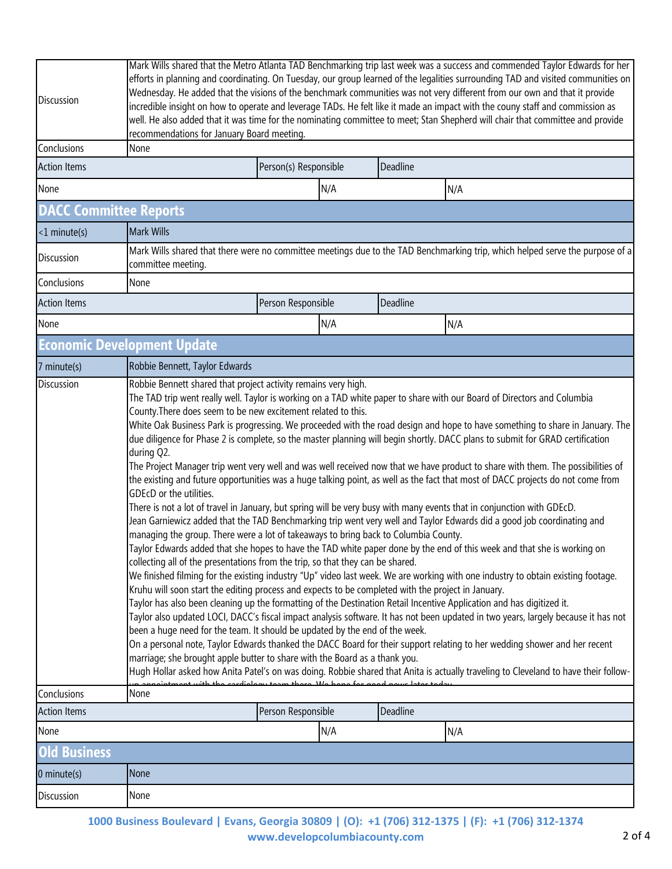| Discussion                    | Mark Wills shared that the Metro Atlanta TAD Benchmarking trip last week was a success and commended Taylor Edwards for her<br>efforts in planning and coordinating. On Tuesday, our group learned of the legalities surrounding TAD and visited communities on<br>Wednesday. He added that the visions of the benchmark communities was not very different from our own and that it provide<br>incredible insight on how to operate and leverage TADs. He felt like it made an impact with the couny staff and commission as<br>well. He also added that it was time for the nominating committee to meet; Stan Shepherd will chair that committee and provide<br>recommendations for January Board meeting.                                                                                                                                                                                                                                                                                                                                                                                                                                                                                                                                                                                                                                                                                                                                                                                                                                                                                                                                                                                                                                                                                                                                                                                                                                                                                                                                                                                                                                                                                                                                                                                                                                 |                       |     |          |     |  |
|-------------------------------|-----------------------------------------------------------------------------------------------------------------------------------------------------------------------------------------------------------------------------------------------------------------------------------------------------------------------------------------------------------------------------------------------------------------------------------------------------------------------------------------------------------------------------------------------------------------------------------------------------------------------------------------------------------------------------------------------------------------------------------------------------------------------------------------------------------------------------------------------------------------------------------------------------------------------------------------------------------------------------------------------------------------------------------------------------------------------------------------------------------------------------------------------------------------------------------------------------------------------------------------------------------------------------------------------------------------------------------------------------------------------------------------------------------------------------------------------------------------------------------------------------------------------------------------------------------------------------------------------------------------------------------------------------------------------------------------------------------------------------------------------------------------------------------------------------------------------------------------------------------------------------------------------------------------------------------------------------------------------------------------------------------------------------------------------------------------------------------------------------------------------------------------------------------------------------------------------------------------------------------------------------------------------------------------------------------------------------------------------|-----------------------|-----|----------|-----|--|
| Conclusions                   | None                                                                                                                                                                                                                                                                                                                                                                                                                                                                                                                                                                                                                                                                                                                                                                                                                                                                                                                                                                                                                                                                                                                                                                                                                                                                                                                                                                                                                                                                                                                                                                                                                                                                                                                                                                                                                                                                                                                                                                                                                                                                                                                                                                                                                                                                                                                                          |                       |     |          |     |  |
| <b>Action Items</b>           |                                                                                                                                                                                                                                                                                                                                                                                                                                                                                                                                                                                                                                                                                                                                                                                                                                                                                                                                                                                                                                                                                                                                                                                                                                                                                                                                                                                                                                                                                                                                                                                                                                                                                                                                                                                                                                                                                                                                                                                                                                                                                                                                                                                                                                                                                                                                               | Person(s) Responsible |     | Deadline |     |  |
| None                          |                                                                                                                                                                                                                                                                                                                                                                                                                                                                                                                                                                                                                                                                                                                                                                                                                                                                                                                                                                                                                                                                                                                                                                                                                                                                                                                                                                                                                                                                                                                                                                                                                                                                                                                                                                                                                                                                                                                                                                                                                                                                                                                                                                                                                                                                                                                                               |                       | N/A |          | N/A |  |
| <b>DACC Committee Reports</b> |                                                                                                                                                                                                                                                                                                                                                                                                                                                                                                                                                                                                                                                                                                                                                                                                                                                                                                                                                                                                                                                                                                                                                                                                                                                                                                                                                                                                                                                                                                                                                                                                                                                                                                                                                                                                                                                                                                                                                                                                                                                                                                                                                                                                                                                                                                                                               |                       |     |          |     |  |
| $<$ 1 minute(s)               | <b>Mark Wills</b>                                                                                                                                                                                                                                                                                                                                                                                                                                                                                                                                                                                                                                                                                                                                                                                                                                                                                                                                                                                                                                                                                                                                                                                                                                                                                                                                                                                                                                                                                                                                                                                                                                                                                                                                                                                                                                                                                                                                                                                                                                                                                                                                                                                                                                                                                                                             |                       |     |          |     |  |
| Discussion                    | Mark Wills shared that there were no committee meetings due to the TAD Benchmarking trip, which helped serve the purpose of a<br>committee meeting.                                                                                                                                                                                                                                                                                                                                                                                                                                                                                                                                                                                                                                                                                                                                                                                                                                                                                                                                                                                                                                                                                                                                                                                                                                                                                                                                                                                                                                                                                                                                                                                                                                                                                                                                                                                                                                                                                                                                                                                                                                                                                                                                                                                           |                       |     |          |     |  |
| Conclusions                   | None                                                                                                                                                                                                                                                                                                                                                                                                                                                                                                                                                                                                                                                                                                                                                                                                                                                                                                                                                                                                                                                                                                                                                                                                                                                                                                                                                                                                                                                                                                                                                                                                                                                                                                                                                                                                                                                                                                                                                                                                                                                                                                                                                                                                                                                                                                                                          |                       |     |          |     |  |
| <b>Action Items</b>           |                                                                                                                                                                                                                                                                                                                                                                                                                                                                                                                                                                                                                                                                                                                                                                                                                                                                                                                                                                                                                                                                                                                                                                                                                                                                                                                                                                                                                                                                                                                                                                                                                                                                                                                                                                                                                                                                                                                                                                                                                                                                                                                                                                                                                                                                                                                                               | Person Responsible    |     | Deadline |     |  |
| None                          |                                                                                                                                                                                                                                                                                                                                                                                                                                                                                                                                                                                                                                                                                                                                                                                                                                                                                                                                                                                                                                                                                                                                                                                                                                                                                                                                                                                                                                                                                                                                                                                                                                                                                                                                                                                                                                                                                                                                                                                                                                                                                                                                                                                                                                                                                                                                               |                       | N/A |          | N/A |  |
|                               | <b>Economic Development Update</b>                                                                                                                                                                                                                                                                                                                                                                                                                                                                                                                                                                                                                                                                                                                                                                                                                                                                                                                                                                                                                                                                                                                                                                                                                                                                                                                                                                                                                                                                                                                                                                                                                                                                                                                                                                                                                                                                                                                                                                                                                                                                                                                                                                                                                                                                                                            |                       |     |          |     |  |
| 7 minute(s)                   | Robbie Bennett, Taylor Edwards                                                                                                                                                                                                                                                                                                                                                                                                                                                                                                                                                                                                                                                                                                                                                                                                                                                                                                                                                                                                                                                                                                                                                                                                                                                                                                                                                                                                                                                                                                                                                                                                                                                                                                                                                                                                                                                                                                                                                                                                                                                                                                                                                                                                                                                                                                                |                       |     |          |     |  |
|                               | Robbie Bennett shared that project activity remains very high.<br>The TAD trip went really well. Taylor is working on a TAD white paper to share with our Board of Directors and Columbia<br>County. There does seem to be new excitement related to this.<br>White Oak Business Park is progressing. We proceeded with the road design and hope to have something to share in January. The<br>due diligence for Phase 2 is complete, so the master planning will begin shortly. DACC plans to submit for GRAD certification<br>during Q2.<br>The Project Manager trip went very well and was well received now that we have product to share with them. The possibilities of<br>the existing and future opportunities was a huge talking point, as well as the fact that most of DACC projects do not come from<br>GDEcD or the utilities.<br>There is not a lot of travel in January, but spring will be very busy with many events that in conjunction with GDEcD.<br>Jean Garniewicz added that the TAD Benchmarking trip went very well and Taylor Edwards did a good job coordinating and<br>managing the group. There were a lot of takeaways to bring back to Columbia County.<br>Taylor Edwards added that she hopes to have the TAD white paper done by the end of this week and that she is working on<br>collecting all of the presentations from the trip, so that they can be shared.<br>We finished filming for the existing industry "Up" video last week. We are working with one industry to obtain existing footage.<br>Kruhu will soon start the editing process and expects to be completed with the project in January.<br>Taylor has also been cleaning up the formatting of the Destination Retail Incentive Application and has digitized it.<br>Taylor also updated LOCI, DACC's fiscal impact analysis software. It has not been updated in two years, largely because it has not<br>been a huge need for the team. It should be updated by the end of the week.<br>On a personal note, Taylor Edwards thanked the DACC Board for their support relating to her wedding shower and her recent<br>marriage; she brought apple butter to share with the Board as a thank you.<br>Hugh Hollar asked how Anita Patel's on was doing. Robbie shared that Anita is actually traveling to Cleveland to have their follow- |                       |     |          |     |  |
| Conclusions                   | None                                                                                                                                                                                                                                                                                                                                                                                                                                                                                                                                                                                                                                                                                                                                                                                                                                                                                                                                                                                                                                                                                                                                                                                                                                                                                                                                                                                                                                                                                                                                                                                                                                                                                                                                                                                                                                                                                                                                                                                                                                                                                                                                                                                                                                                                                                                                          |                       |     |          |     |  |
| <b>Action Items</b><br>None   |                                                                                                                                                                                                                                                                                                                                                                                                                                                                                                                                                                                                                                                                                                                                                                                                                                                                                                                                                                                                                                                                                                                                                                                                                                                                                                                                                                                                                                                                                                                                                                                                                                                                                                                                                                                                                                                                                                                                                                                                                                                                                                                                                                                                                                                                                                                                               | Person Responsible    |     | Deadline |     |  |
| <b>Old Business</b>           |                                                                                                                                                                                                                                                                                                                                                                                                                                                                                                                                                                                                                                                                                                                                                                                                                                                                                                                                                                                                                                                                                                                                                                                                                                                                                                                                                                                                                                                                                                                                                                                                                                                                                                                                                                                                                                                                                                                                                                                                                                                                                                                                                                                                                                                                                                                                               |                       | N/A |          | N/A |  |
|                               | None                                                                                                                                                                                                                                                                                                                                                                                                                                                                                                                                                                                                                                                                                                                                                                                                                                                                                                                                                                                                                                                                                                                                                                                                                                                                                                                                                                                                                                                                                                                                                                                                                                                                                                                                                                                                                                                                                                                                                                                                                                                                                                                                                                                                                                                                                                                                          |                       |     |          |     |  |
| 0 minute(s)                   |                                                                                                                                                                                                                                                                                                                                                                                                                                                                                                                                                                                                                                                                                                                                                                                                                                                                                                                                                                                                                                                                                                                                                                                                                                                                                                                                                                                                                                                                                                                                                                                                                                                                                                                                                                                                                                                                                                                                                                                                                                                                                                                                                                                                                                                                                                                                               |                       |     |          |     |  |
| Discussion                    | None                                                                                                                                                                                                                                                                                                                                                                                                                                                                                                                                                                                                                                                                                                                                                                                                                                                                                                                                                                                                                                                                                                                                                                                                                                                                                                                                                                                                                                                                                                                                                                                                                                                                                                                                                                                                                                                                                                                                                                                                                                                                                                                                                                                                                                                                                                                                          |                       |     |          |     |  |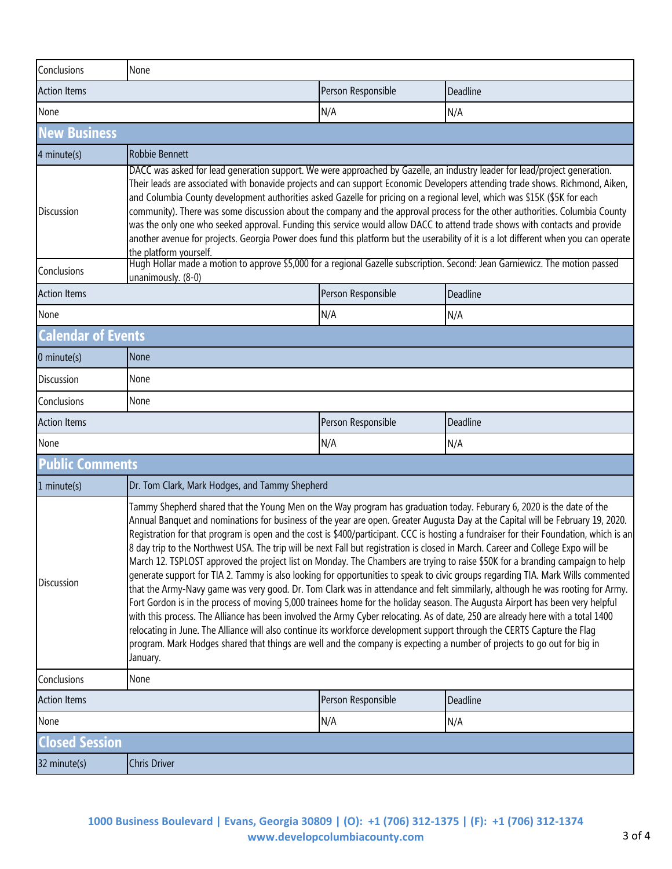| Conclusions               | None                                                                                                                                                                                                                                                                                                                                                                                                                                                                                                                                                                                                                                                                                                                                                                                                                                                                                                                                                                                                                                                                                                                                                                                                                                                                                                                                                                                                                                                                                |                    |          |  |  |  |
|---------------------------|-------------------------------------------------------------------------------------------------------------------------------------------------------------------------------------------------------------------------------------------------------------------------------------------------------------------------------------------------------------------------------------------------------------------------------------------------------------------------------------------------------------------------------------------------------------------------------------------------------------------------------------------------------------------------------------------------------------------------------------------------------------------------------------------------------------------------------------------------------------------------------------------------------------------------------------------------------------------------------------------------------------------------------------------------------------------------------------------------------------------------------------------------------------------------------------------------------------------------------------------------------------------------------------------------------------------------------------------------------------------------------------------------------------------------------------------------------------------------------------|--------------------|----------|--|--|--|
| <b>Action Items</b>       |                                                                                                                                                                                                                                                                                                                                                                                                                                                                                                                                                                                                                                                                                                                                                                                                                                                                                                                                                                                                                                                                                                                                                                                                                                                                                                                                                                                                                                                                                     |                    | Deadline |  |  |  |
| None                      |                                                                                                                                                                                                                                                                                                                                                                                                                                                                                                                                                                                                                                                                                                                                                                                                                                                                                                                                                                                                                                                                                                                                                                                                                                                                                                                                                                                                                                                                                     | N/A                | N/A      |  |  |  |
| <b>New Business</b>       |                                                                                                                                                                                                                                                                                                                                                                                                                                                                                                                                                                                                                                                                                                                                                                                                                                                                                                                                                                                                                                                                                                                                                                                                                                                                                                                                                                                                                                                                                     |                    |          |  |  |  |
| 4 minute(s)               | Robbie Bennett                                                                                                                                                                                                                                                                                                                                                                                                                                                                                                                                                                                                                                                                                                                                                                                                                                                                                                                                                                                                                                                                                                                                                                                                                                                                                                                                                                                                                                                                      |                    |          |  |  |  |
| Discussion                | DACC was asked for lead generation support. We were approached by Gazelle, an industry leader for lead/project generation.<br>Their leads are associated with bonavide projects and can support Economic Developers attending trade shows. Richmond, Aiken,<br>and Columbia County development authorities asked Gazelle for pricing on a regional level, which was \$15K (\$5K for each<br>community). There was some discussion about the company and the approval process for the other authorities. Columbia County<br>was the only one who seeked approval. Funding this service would allow DACC to attend trade shows with contacts and provide<br>another avenue for projects. Georgia Power does fund this platform but the userability of it is a lot different when you can operate<br>the platform yourself.<br>Hugh Hollar made a motion to approve \$5,000 for a regional Gazelle subscription. Second: Jean Garniewicz. The motion passed                                                                                                                                                                                                                                                                                                                                                                                                                                                                                                                            |                    |          |  |  |  |
| Conclusions               | unanimously. (8-0)                                                                                                                                                                                                                                                                                                                                                                                                                                                                                                                                                                                                                                                                                                                                                                                                                                                                                                                                                                                                                                                                                                                                                                                                                                                                                                                                                                                                                                                                  |                    |          |  |  |  |
| <b>Action Items</b>       |                                                                                                                                                                                                                                                                                                                                                                                                                                                                                                                                                                                                                                                                                                                                                                                                                                                                                                                                                                                                                                                                                                                                                                                                                                                                                                                                                                                                                                                                                     | Person Responsible | Deadline |  |  |  |
| None                      |                                                                                                                                                                                                                                                                                                                                                                                                                                                                                                                                                                                                                                                                                                                                                                                                                                                                                                                                                                                                                                                                                                                                                                                                                                                                                                                                                                                                                                                                                     | N/A                | N/A      |  |  |  |
| <b>Calendar of Events</b> |                                                                                                                                                                                                                                                                                                                                                                                                                                                                                                                                                                                                                                                                                                                                                                                                                                                                                                                                                                                                                                                                                                                                                                                                                                                                                                                                                                                                                                                                                     |                    |          |  |  |  |
| $0$ minute(s)             | <b>None</b>                                                                                                                                                                                                                                                                                                                                                                                                                                                                                                                                                                                                                                                                                                                                                                                                                                                                                                                                                                                                                                                                                                                                                                                                                                                                                                                                                                                                                                                                         |                    |          |  |  |  |
| <b>Discussion</b>         | None                                                                                                                                                                                                                                                                                                                                                                                                                                                                                                                                                                                                                                                                                                                                                                                                                                                                                                                                                                                                                                                                                                                                                                                                                                                                                                                                                                                                                                                                                |                    |          |  |  |  |
| Conclusions               | None                                                                                                                                                                                                                                                                                                                                                                                                                                                                                                                                                                                                                                                                                                                                                                                                                                                                                                                                                                                                                                                                                                                                                                                                                                                                                                                                                                                                                                                                                |                    |          |  |  |  |
| <b>Action Items</b>       |                                                                                                                                                                                                                                                                                                                                                                                                                                                                                                                                                                                                                                                                                                                                                                                                                                                                                                                                                                                                                                                                                                                                                                                                                                                                                                                                                                                                                                                                                     | Person Responsible | Deadline |  |  |  |
| None                      |                                                                                                                                                                                                                                                                                                                                                                                                                                                                                                                                                                                                                                                                                                                                                                                                                                                                                                                                                                                                                                                                                                                                                                                                                                                                                                                                                                                                                                                                                     | N/A                | N/A      |  |  |  |
| <b>Public Comments</b>    |                                                                                                                                                                                                                                                                                                                                                                                                                                                                                                                                                                                                                                                                                                                                                                                                                                                                                                                                                                                                                                                                                                                                                                                                                                                                                                                                                                                                                                                                                     |                    |          |  |  |  |
| 1 minute(s)               | Dr. Tom Clark, Mark Hodges, and Tammy Shepherd                                                                                                                                                                                                                                                                                                                                                                                                                                                                                                                                                                                                                                                                                                                                                                                                                                                                                                                                                                                                                                                                                                                                                                                                                                                                                                                                                                                                                                      |                    |          |  |  |  |
| <b>Discussion</b>         | Tammy Shepherd shared that the Young Men on the Way program has graduation today. Feburary 6, 2020 is the date of the<br>Annual Banquet and nominations for business of the year are open. Greater Augusta Day at the Capital will be February 19, 2020.<br>Registration for that program is open and the cost is \$400/participant. CCC is hosting a fundraiser for their Foundation, which is an<br>8 day trip to the Northwest USA. The trip will be next Fall but registration is closed in March. Career and College Expo will be<br>March 12. TSPLOST approved the project list on Monday. The Chambers are trying to raise \$50K for a branding campaign to help<br>generate support for TIA 2. Tammy is also looking for opportunities to speak to civic groups regarding TIA. Mark Wills commented<br>that the Army-Navy game was very good. Dr. Tom Clark was in attendance and felt simmilarly, although he was rooting for Army.<br>Fort Gordon is in the process of moving 5,000 trainees home for the holiday season. The Augusta Airport has been very helpful<br>with this process. The Alliance has been involved the Army Cyber relocating. As of date, 250 are already here with a total 1400<br>relocating in June. The Alliance will also continue its workforce development support through the CERTS Capture the Flag<br>program. Mark Hodges shared that things are well and the company is expecting a number of projects to go out for big in<br>January. |                    |          |  |  |  |
| Conclusions               | None                                                                                                                                                                                                                                                                                                                                                                                                                                                                                                                                                                                                                                                                                                                                                                                                                                                                                                                                                                                                                                                                                                                                                                                                                                                                                                                                                                                                                                                                                |                    |          |  |  |  |
| <b>Action Items</b>       |                                                                                                                                                                                                                                                                                                                                                                                                                                                                                                                                                                                                                                                                                                                                                                                                                                                                                                                                                                                                                                                                                                                                                                                                                                                                                                                                                                                                                                                                                     | Person Responsible | Deadline |  |  |  |
| None                      |                                                                                                                                                                                                                                                                                                                                                                                                                                                                                                                                                                                                                                                                                                                                                                                                                                                                                                                                                                                                                                                                                                                                                                                                                                                                                                                                                                                                                                                                                     | N/A                | N/A      |  |  |  |
| <b>Closed Session</b>     |                                                                                                                                                                                                                                                                                                                                                                                                                                                                                                                                                                                                                                                                                                                                                                                                                                                                                                                                                                                                                                                                                                                                                                                                                                                                                                                                                                                                                                                                                     |                    |          |  |  |  |
| 32 minute(s)              | <b>Chris Driver</b>                                                                                                                                                                                                                                                                                                                                                                                                                                                                                                                                                                                                                                                                                                                                                                                                                                                                                                                                                                                                                                                                                                                                                                                                                                                                                                                                                                                                                                                                 |                    |          |  |  |  |